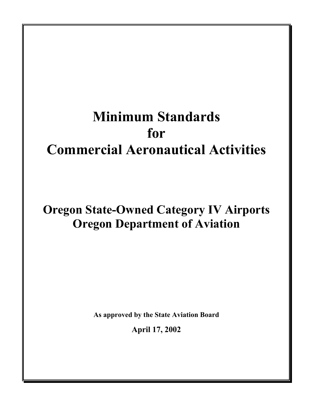# **Minimum Standards for Commercial Aeronautical Activities**

# **Oregon State-Owned Category IV Airports Oregon Department of Aviation**

**As approved by the State Aviation Board** 

**April 17, 2002**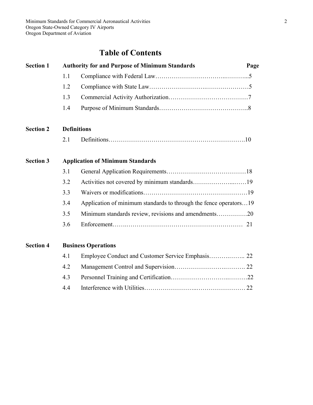# **Table of Contents**

| <b>Section 1</b> | <b>Authority for and Purpose of Minimum Standards</b> |                                                                   | Page |
|------------------|-------------------------------------------------------|-------------------------------------------------------------------|------|
|                  | 1.1                                                   |                                                                   |      |
|                  | 1.2                                                   |                                                                   |      |
|                  | 1.3                                                   |                                                                   |      |
|                  | 1.4                                                   |                                                                   |      |
| <b>Section 2</b> | <b>Definitions</b>                                    |                                                                   |      |
|                  | 2.1                                                   |                                                                   |      |
| <b>Section 3</b> |                                                       | <b>Application of Minimum Standards</b>                           |      |
|                  | 3.1                                                   |                                                                   |      |
|                  | 3.2                                                   |                                                                   |      |
|                  | 3.3                                                   |                                                                   |      |
|                  | 3.4                                                   | Application of minimum standards to through the fence operators19 |      |
|                  | 3.5                                                   | Minimum standards review, revisions and amendments20              |      |
|                  | 3.6                                                   |                                                                   |      |
| <b>Section 4</b> |                                                       | <b>Business Operations</b>                                        |      |
|                  | 4.1                                                   |                                                                   |      |
|                  | 4.2                                                   |                                                                   |      |

4.3 Personnel Training and Certification………………………..………22 4.4 Interference with Utilities……………………..…………………… 22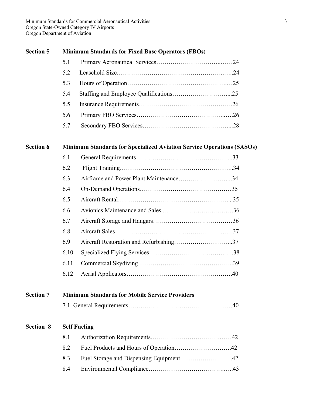# **Section 5 Minimum Standards for Fixed Base Operators (FBOs)**

| 52  |  |
|-----|--|
| 5.3 |  |
| 5.4 |  |
| 5.5 |  |
| 5.6 |  |
| 5.7 |  |

# **Section 6 Minimum Standards for Specialized Aviation Service Operations (SASOs)**

| 6.1  |                                        |  |
|------|----------------------------------------|--|
| 6.2  |                                        |  |
| 6.3  | Airframe and Power Plant Maintenance34 |  |
| 6.4  |                                        |  |
| 6.5  |                                        |  |
| 6.6  |                                        |  |
| 6.7  |                                        |  |
| 6.8  |                                        |  |
| 6.9  |                                        |  |
| 6.10 |                                        |  |
| 6.11 |                                        |  |
| 6.12 |                                        |  |

# **Section 7 Minimum Standards for Mobile Service Providers**

|--|

# **Section 8 Self Fueling**

| 81 |  |
|----|--|
| 82 |  |
|    |  |
| 84 |  |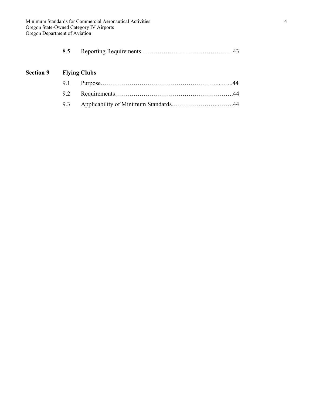|--|--|--|

# **Section 9 Flying Clubs**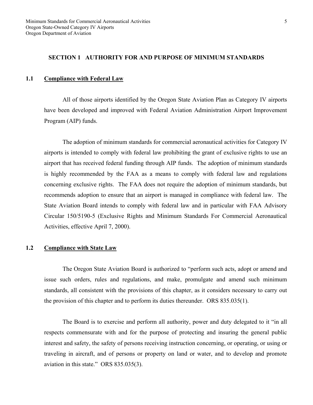# **SECTION 1 AUTHORITY FOR AND PURPOSE OF MINIMUM STANDARDS**

#### **1.1 Compliance with Federal Law**

 All of those airports identified by the Oregon State Aviation Plan as Category IV airports have been developed and improved with Federal Aviation Administration Airport Improvement Program (AIP) funds.

 The adoption of minimum standards for commercial aeronautical activities for Category IV airports is intended to comply with federal law prohibiting the grant of exclusive rights to use an airport that has received federal funding through AIP funds. The adoption of minimum standards is highly recommended by the FAA as a means to comply with federal law and regulations concerning exclusive rights. The FAA does not require the adoption of minimum standards, but recommends adoption to ensure that an airport is managed in compliance with federal law. The State Aviation Board intends to comply with federal law and in particular with FAA Advisory Circular 150/5190-5 (Exclusive Rights and Minimum Standards For Commercial Aeronautical Activities, effective April 7, 2000).

# **1.2 Compliance with State Law**

 The Oregon State Aviation Board is authorized to "perform such acts, adopt or amend and issue such orders, rules and regulations, and make, promulgate and amend such minimum standards, all consistent with the provisions of this chapter, as it considers necessary to carry out the provision of this chapter and to perform its duties thereunder. ORS 835.035(1).

 The Board is to exercise and perform all authority, power and duty delegated to it "in all respects commensurate with and for the purpose of protecting and insuring the general public interest and safety, the safety of persons receiving instruction concerning, or operating, or using or traveling in aircraft, and of persons or property on land or water, and to develop and promote aviation in this state." ORS 835.035(3).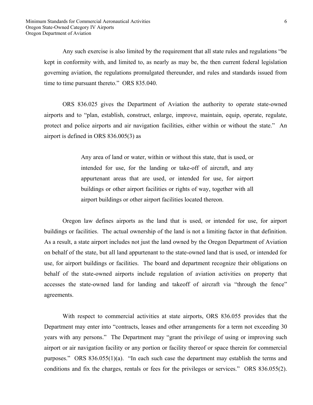Any such exercise is also limited by the requirement that all state rules and regulations "be kept in conformity with, and limited to, as nearly as may be, the then current federal legislation governing aviation, the regulations promulgated thereunder, and rules and standards issued from time to time pursuant thereto." ORS 835.040.

 ORS 836.025 gives the Department of Aviation the authority to operate state-owned airports and to "plan, establish, construct, enlarge, improve, maintain, equip, operate, regulate, protect and police airports and air navigation facilities, either within or without the state." An airport is defined in ORS 836.005(3) as

> Any area of land or water, within or without this state, that is used, or intended for use, for the landing or take-off of aircraft, and any appurtenant areas that are used, or intended for use, for airport buildings or other airport facilities or rights of way, together with all airport buildings or other airport facilities located thereon.

 Oregon law defines airports as the land that is used, or intended for use, for airport buildings or facilities. The actual ownership of the land is not a limiting factor in that definition. As a result, a state airport includes not just the land owned by the Oregon Department of Aviation on behalf of the state, but all land appurtenant to the state-owned land that is used, or intended for use, for airport buildings or facilities. The board and department recognize their obligations on behalf of the state-owned airports include regulation of aviation activities on property that accesses the state-owned land for landing and takeoff of aircraft via "through the fence" agreements.

 With respect to commercial activities at state airports, ORS 836.055 provides that the Department may enter into "contracts, leases and other arrangements for a term not exceeding 30 years with any persons." The Department may "grant the privilege of using or improving such airport or air navigation facility or any portion or facility thereof or space therein for commercial purposes." ORS 836.055(1)(a). "In each such case the department may establish the terms and conditions and fix the charges, rentals or fees for the privileges or services." ORS 836.055(2).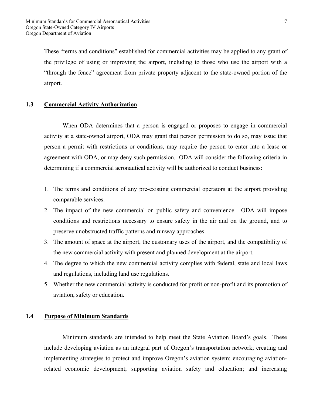These "terms and conditions" established for commercial activities may be applied to any grant of the privilege of using or improving the airport, including to those who use the airport with a "through the fence" agreement from private property adjacent to the state-owned portion of the airport.

# **1.3 Commercial Activity Authorization**

 When ODA determines that a person is engaged or proposes to engage in commercial activity at a state-owned airport, ODA may grant that person permission to do so, may issue that person a permit with restrictions or conditions, may require the person to enter into a lease or agreement with ODA, or may deny such permission. ODA will consider the following criteria in determining if a commercial aeronautical activity will be authorized to conduct business:

- 1. The terms and conditions of any pre-existing commercial operators at the airport providing comparable services.
- 2. The impact of the new commercial on public safety and convenience. ODA will impose conditions and restrictions necessary to ensure safety in the air and on the ground, and to preserve unobstructed traffic patterns and runway approaches.
- 3. The amount of space at the airport, the customary uses of the airport, and the compatibility of the new commercial activity with present and planned development at the airport.
- 4. The degree to which the new commercial activity complies with federal, state and local laws and regulations, including land use regulations.
- 5. Whether the new commercial activity is conducted for profit or non-profit and its promotion of aviation, safety or education.

# **1.4 Purpose of Minimum Standards**

 Minimum standards are intended to help meet the State Aviation Board's goals. These include developing aviation as an integral part of Oregon's transportation network; creating and implementing strategies to protect and improve Oregon's aviation system; encouraging aviationrelated economic development; supporting aviation safety and education; and increasing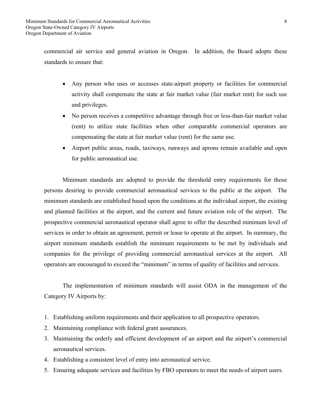commercial air service and general aviation in Oregon. In addition, the Board adopts these standards to ensure that:

- Any person who uses or accesses state-airport property or facilities for commercial activity shall compensate the state at fair market value (fair market rent) for such use and privileges.
- No person receives a competitive advantage through free or less-than-fair market value (rent) to utilize state facilities when other comparable commercial operators are compensating the state at fair market value (rent) for the same use.
- Airport public areas, roads, taxiways, runways and aprons remain available and open for public aeronautical use.

 Minimum standards are adopted to provide the threshold entry requirements for those persons desiring to provide commercial aeronautical services to the public at the airport. The minimum standards are established based upon the conditions at the individual airport, the existing and planned facilities at the airport, and the current and future aviation role of the airport. The prospective commercial aeronautical operator shall agree to offer the described minimum level of services in order to obtain an agreement, permit or lease to operate at the airport. In summary, the airport minimum standards establish the minimum requirements to be met by individuals and companies for the privilege of providing commercial aeronautical services at the airport. All operators are encouraged to exceed the "minimum" in terms of quality of facilities and services.

 The implementation of minimum standards will assist ODA in the management of the Category IV Airports by:

- 1. Establishing uniform requirements and their application to all prospective operators.
- 2. Maintaining compliance with federal grant assurances.
- 3. Maintaining the orderly and efficient development of an airport and the airport's commercial aeronautical services.
- 4. Establishing a consistent level of entry into aeronautical service.
- 5. Ensuring adequate services and facilities by FBO operators to meet the needs of airport users.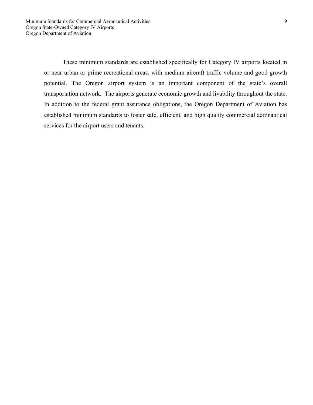These minimum standards are established specifically for Category IV airports located in or near urban or prime recreational areas, with medium aircraft traffic volume and good growth potential. The Oregon airport system is an important component of the state's overall transportation network. The airports generate economic growth and livability throughout the state. In addition to the federal grant assurance obligations, the Oregon Department of Aviation has established minimum standards to foster safe, efficient, and high quality commercial aeronautical services for the airport users and tenants.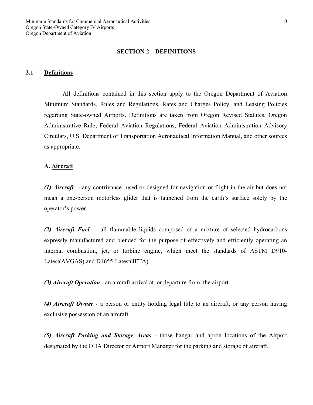#### **SECTION 2 DEFINITIONS**

#### **2.1 Definitions**

All definitions contained in this section apply to the Oregon Department of Aviation Minimum Standards, Rules and Regulations, Rates and Charges Policy, and Leasing Policies regarding State-owned Airports. Definitions are taken from Oregon Revised Statutes, Oregon Administrative Rule, Federal Aviation Regulations, Federal Aviation Administration Advisory Circulars, U.S. Department of Transportation Aeronautical Information Manual, and other sources as appropriate.

#### **A. Aircraft**

*(1) Aircraft -* any contrivance used or designed for navigation or flight in the air but does not mean a one-person motorless glider that is launched from the earth's surface solely by the operator's power.

*(2) Aircraft Fuel -* all flammable liquids composed of a mixture of selected hydrocarbons expressly manufactured and blended for the purpose of effectively and efficiently operating an internal combustion, jet, or turbine engine, which meet the standards of ASTM D910- Latest(AVGAS) and D1655-Latest(JETA).

*(3) Aircraft Operation -* an aircraft arrival at, or departure from, the airport.

*(4) Aircraft Owner -* a person or entity holding legal title to an aircraft, or any person having exclusive possession of an aircraft.

*(5) Aircraft Parking and Storage Areas -* those hangar and apron locations of the Airport designated by the ODA Director or Airport Manager for the parking and storage of aircraft.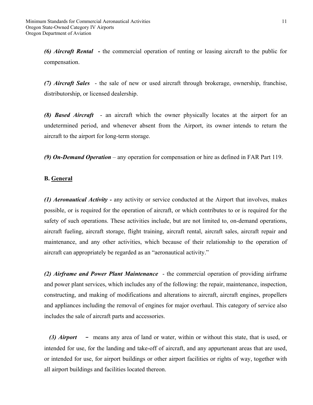*(6) Aircraft Rental* **-** the commercial operation of renting or leasing aircraft to the public for compensation.

*(7) Aircraft Sales* - the sale of new or used aircraft through brokerage, ownership, franchise, distributorship, or licensed dealership.

*(8) Based Aircraft* - an aircraft which the owner physically locates at the airport for an undetermined period, and whenever absent from the Airport, its owner intends to return the aircraft to the airport for long-term storage.

*(9) On-Demand Operation* – any operation for compensation or hire as defined in FAR Part 119.

#### **B. General**

*(1) Aeronautical Activity -* any activity or service conducted at the Airport that involves, makes possible, or is required for the operation of aircraft, or which contributes to or is required for the safety of such operations. These activities include, but are not limited to, on-demand operations, aircraft fueling, aircraft storage, flight training, aircraft rental, aircraft sales, aircraft repair and maintenance, and any other activities, which because of their relationship to the operation of aircraft can appropriately be regarded as an "aeronautical activity."

*(2) Airframe and Power Plant Maintenance* - the commercial operation of providing airframe and power plant services, which includes any of the following: the repair, maintenance, inspection, constructing, and making of modifications and alterations to aircraft, aircraft engines, propellers and appliances including the removal of engines for major overhaul. This category of service also includes the sale of aircraft parts and accessories.

*(3) Airport* **-** means any area of land or water, within or without this state, that is used, or intended for use, for the landing and take-off of aircraft, and any appurtenant areas that are used, or intended for use, for airport buildings or other airport facilities or rights of way, together with all airport buildings and facilities located thereon.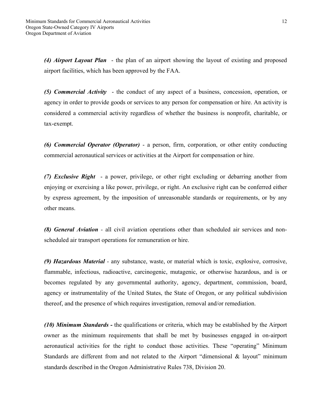*(4) Airport Layout Plan* - the plan of an airport showing the layout of existing and proposed airport facilities, which has been approved by the FAA.

*(5) Commercial Activity* - the conduct of any aspect of a business, concession, operation, or agency in order to provide goods or services to any person for compensation or hire. An activity is considered a commercial activity regardless of whether the business is nonprofit, charitable, or tax-exempt.

*(6) Commercial Operator (Operator)* - a person, firm, corporation, or other entity conducting commercial aeronautical services or activities at the Airport for compensation or hire.

*(7) Exclusive Right* - a power, privilege, or other right excluding or debarring another from enjoying or exercising a like power, privilege, or right. An exclusive right can be conferred either by express agreement, by the imposition of unreasonable standards or requirements, or by any other means.

*(8) General Aviation -* all civil aviation operations other than scheduled air services and nonscheduled air transport operations for remuneration or hire.

*(9) Hazardous Material -* any substance, waste, or material which is toxic, explosive, corrosive, flammable, infectious, radioactive, carcinogenic, mutagenic, or otherwise hazardous, and is or becomes regulated by any governmental authority, agency, department, commission, board, agency or instrumentality of the United States, the State of Oregon, or any political subdivision thereof, and the presence of which requires investigation, removal and/or remediation.

*(10) Minimum Standards -* the qualifications or criteria, which may be established by the Airport owner as the minimum requirements that shall be met by businesses engaged in on-airport aeronautical activities for the right to conduct those activities. These "operating" Minimum Standards are different from and not related to the Airport "dimensional & layout" minimum standards described in the Oregon Administrative Rules 738, Division 20.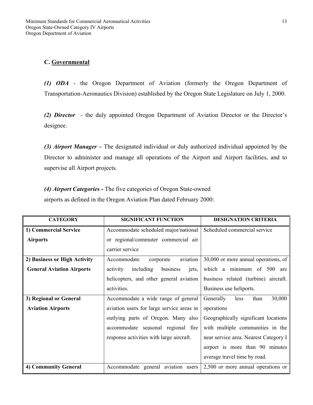# **C. Governmental**

*(1) ODA* - the Oregon Department of Aviation (formerly the Oregon Department of Transportation-Aeronautics Division) established by the Oregon State Legislature on July 1, 2000.

*(2) Director -* the duly appointed Oregon Department of Aviation Director or the Director's designee.

*(3) Airport Manager –* The designated individual or duly authorized individual appointed by the Director to administer and manage all operations of the Airport and Airport facilities, and to supervise all Airport projects.

*(4) Airport Categories -* The five categories of Oregon State-owned airports as defined in the Oregon Aviation Plan dated February 2000:

| <b>CATEGORY</b>                  | <b>SIGNIFICANT FUNCTION</b>                | <b>DESIGNATION CRITERIA</b>           |
|----------------------------------|--------------------------------------------|---------------------------------------|
| 1) Commercial Service            | Accommodate scheduled major/national       | Scheduled commercial service          |
| <b>Airports</b>                  | or regional/commuter commercial air        |                                       |
|                                  | carrier service                            |                                       |
| 2) Business or High Activity     | aviation<br>Accommodate<br>corporate       | 30,000 or more annual operations, of  |
| <b>General Aviation Airports</b> | including<br>business<br>activity<br>jets, | which a minimum of 500 are            |
|                                  | helicopters, and other general aviation    | business related (turbine) aircraft.  |
|                                  | activities.                                | Business use heliports.               |
| 3) Regional or General           | Accommodate a wide range of general        | 30,000<br>Generally<br>than<br>less   |
| <b>Aviation Airports</b>         | aviation users for large service areas in  | operations                            |
|                                  | outlying parts of Oregon. Many also        | Geographically significant locations  |
|                                  | accommodate seasonal regional fire         | with multiple communities in the      |
|                                  | response activities with large aircraft.   | near service area. Nearest Category I |
|                                  |                                            | airport is more than 90 minutes       |
|                                  |                                            | average travel time by road.          |
| 4) Community General             | Accommodate general aviation users         | 2,500 or more annual operations or    |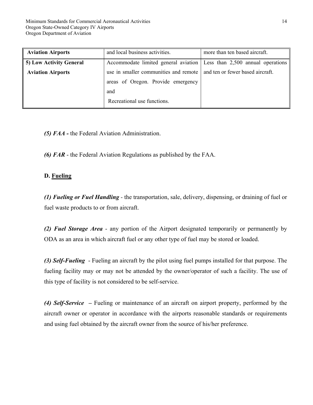| <b>Aviation Airports</b> | and local business activities.                                           | more than ten based aircraft.    |
|--------------------------|--------------------------------------------------------------------------|----------------------------------|
| 5) Low Activity General  | Accommodate limited general aviation   Less than 2,500 annual operations |                                  |
| <b>Aviation Airports</b> | use in smaller communities and remote                                    | and ten or fewer based aircraft. |
|                          | areas of Oregon. Provide emergency                                       |                                  |
|                          | and                                                                      |                                  |
|                          | Recreational use functions.                                              |                                  |

*(5) FAA -* the Federal Aviation Administration.

*(6) FAR* - the Federal Aviation Regulations as published by the FAA.

# **D. Fueling**

*(1) Fueling or Fuel Handling -* the transportation, sale, delivery, dispensing, or draining of fuel or fuel waste products to or from aircraft.

*(2) Fuel Storage Area* - any portion of the Airport designated temporarily or permanently by ODA as an area in which aircraft fuel or any other type of fuel may be stored or loaded.

*(3) Self-Fueling* - Fueling an aircraft by the pilot using fuel pumps installed for that purpose. The fueling facility may or may not be attended by the owner/operator of such a facility. The use of this type of facility is not considered to be self-service.

*(4) Self-Service –* Fueling or maintenance of an aircraft on airport property, performed by the aircraft owner or operator in accordance with the airports reasonable standards or requirements and using fuel obtained by the aircraft owner from the source of his/her preference.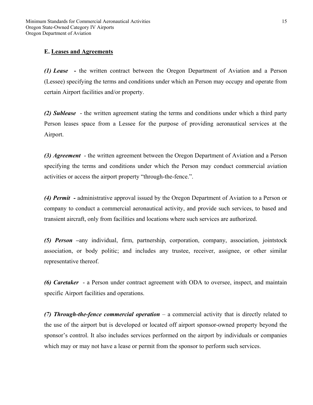# **E. Leases and Agreements**

*(1) Lease* **-** the written contract between the Oregon Department of Aviation and a Person (Lessee) specifying the terms and conditions under which an Person may occupy and operate from certain Airport facilities and/or property.

*(2) Sublease* - the written agreement stating the terms and conditions under which a third party Person leases space from a Lessee for the purpose of providing aeronautical services at the Airport.

*(3) Agreement* - the written agreement between the Oregon Department of Aviation and a Person specifying the terms and conditions under which the Person may conduct commercial aviation activities or access the airport property "through-the-fence.".

*(4) Permit -* administrative approval issued by the Oregon Department of Aviation to a Person or company to conduct a commercial aeronautical activity, and provide such services, to based and transient aircraft, only from facilities and locations where such services are authorized.

*(5) Person –*any individual, firm, partnership, corporation, company, association, jointstock association, or body politic; and includes any trustee, receiver, assignee, or other similar representative thereof.

*(6) Caretaker* - a Person under contract agreement with ODA to oversee, inspect, and maintain specific Airport facilities and operations.

*(7) Through-the-fence commercial operation* – a commercial activity that is directly related to the use of the airport but is developed or located off airport sponsor-owned property beyond the sponsor's control. It also includes services performed on the airport by individuals or companies which may or may not have a lease or permit from the sponsor to perform such services.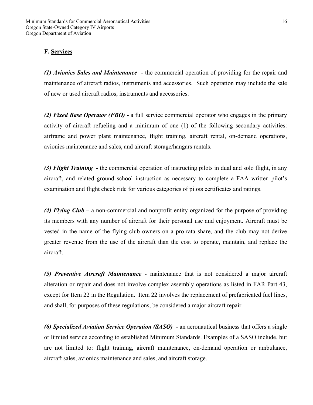# **F. Services**

*(1) Avionics Sales and Maintenance* - the commercial operation of providing for the repair and maintenance of aircraft radios, instruments and accessories. Such operation may include the sale of new or used aircraft radios, instruments and accessories.

*(2) Fixed Base Operator (FBO) -* a full service commercial operator who engages in the primary activity of aircraft refueling and a minimum of one (1) of the following secondary activities: airframe and power plant maintenance, flight training, aircraft rental, on-demand operations, avionics maintenance and sales, and aircraft storage/hangars rentals.

*(3) Flight Training* **-** the commercial operation of instructing pilots in dual and solo flight, in any aircraft, and related ground school instruction as necessary to complete a FAA written pilot's examination and flight check ride for various categories of pilots certificates and ratings.

*(4) Flying Club* – a non-commercial and nonprofit entity organized for the purpose of providing its members with any number of aircraft for their personal use and enjoyment. Aircraft must be vested in the name of the flying club owners on a pro-rata share, and the club may not derive greater revenue from the use of the aircraft than the cost to operate, maintain, and replace the aircraft.

*(5) Preventive Aircraft Maintenance -* maintenance that is not considered a major aircraft alteration or repair and does not involve complex assembly operations as listed in FAR Part 43, except for Item 22 in the Regulation. Item 22 involves the replacement of prefabricated fuel lines, and shall, for purposes of these regulations, be considered a major aircraft repair.

*(6) Specialized Aviation Service Operation (SASO)* - an aeronautical business that offers a single or limited service according to established Minimum Standards. Examples of a SASO include, but are not limited to: flight training, aircraft maintenance, on-demand operation or ambulance, aircraft sales, avionics maintenance and sales, and aircraft storage.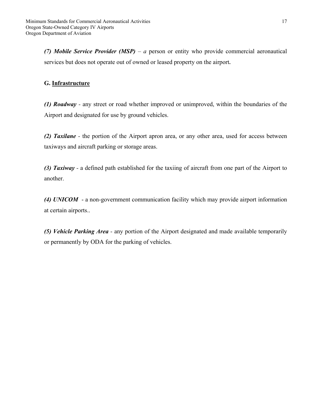*(7) Mobile Service Provider (MSP) – a* person or entity who provide commercial aeronautical services but does not operate out of owned or leased property on the airport**.**

# **G. Infrastructure**

*(1) Roadway -* any street or road whether improved or unimproved, within the boundaries of the Airport and designated for use by ground vehicles.

*(2) Taxilane -* the portion of the Airport apron area, or any other area, used for access between taxiways and aircraft parking or storage areas.

*(3) Taxiway -* a defined path established for the taxiing of aircraft from one part of the Airport to another.

*(4) UNICOM* - a non-government communication facility which may provide airport information at certain airports..

*(5) Vehicle Parking Area -* any portion of the Airport designated and made available temporarily or permanently by ODA for the parking of vehicles.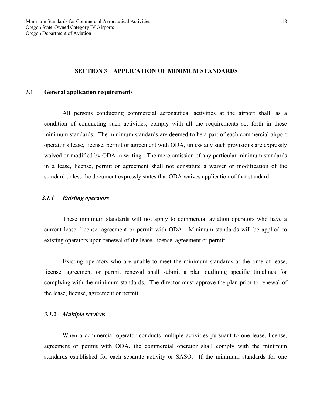#### **SECTION 3 APPLICATION OF MINIMUM STANDARDS**

#### **3.1 General application requirements**

 All persons conducting commercial aeronautical activities at the airport shall, as a condition of conducting such activities, comply with all the requirements set forth in these minimum standards. The minimum standards are deemed to be a part of each commercial airport operator's lease, license, permit or agreement with ODA, unless any such provisions are expressly waived or modified by ODA in writing. The mere omission of any particular minimum standards in a lease, license, permit or agreement shall not constitute a waiver or modification of the standard unless the document expressly states that ODA waives application of that standard.

## *3.1.1 Existing operators*

 These minimum standards will not apply to commercial aviation operators who have a current lease, license, agreement or permit with ODA. Minimum standards will be applied to existing operators upon renewal of the lease, license, agreement or permit.

 Existing operators who are unable to meet the minimum standards at the time of lease, license, agreement or permit renewal shall submit a plan outlining specific timelines for complying with the minimum standards. The director must approve the plan prior to renewal of the lease, license, agreement or permit.

#### *3.1.2 Multiple services*

 When a commercial operator conducts multiple activities pursuant to one lease, license, agreement or permit with ODA, the commercial operator shall comply with the minimum standards established for each separate activity or SASO. If the minimum standards for one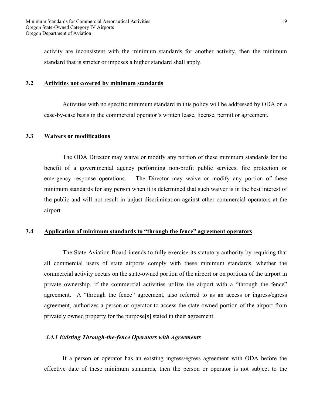activity are inconsistent with the minimum standards for another activity, then the minimum standard that is stricter or imposes a higher standard shall apply.

#### **3.2 Activities not covered by minimum standards**

 Activities with no specific minimum standard in this policy will be addressed by ODA on a case-by-case basis in the commercial operator's written lease, license, permit or agreement.

#### **3.3 Waivers or modifications**

 The ODA Director may waive or modify any portion of these minimum standards for the benefit of a governmental agency performing non-profit public services, fire protection or emergency response operations. The Director may waive or modify any portion of these minimum standards for any person when it is determined that such waiver is in the best interest of the public and will not result in unjust discrimination against other commercial operators at the airport.

# **3.4 Application of minimum standards to "through the fence" agreement operators**

 The State Aviation Board intends to fully exercise its statutory authority by requiring that all commercial users of state airports comply with these minimum standards, whether the commercial activity occurs on the state-owned portion of the airport or on portions of the airport in private ownership, if the commercial activities utilize the airport with a "through the fence" agreement. A "through the fence" agreement, also referred to as an access or ingress/egress agreement, authorizes a person or operator to access the state-owned portion of the airport from privately owned property for the purpose[s] stated in their agreement.

#### *3.4.1 Existing Through-the-fence Operators with Agreements*

 If a person or operator has an existing ingress/egress agreement with ODA before the effective date of these minimum standards, then the person or operator is not subject to the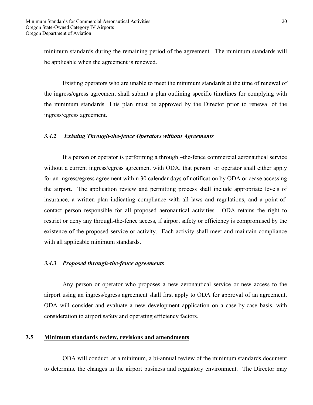minimum standards during the remaining period of the agreement. The minimum standards will be applicable when the agreement is renewed.

 Existing operators who are unable to meet the minimum standards at the time of renewal of the ingress/egress agreement shall submit a plan outlining specific timelines for complying with the minimum standards. This plan must be approved by the Director prior to renewal of the ingress/egress agreement.

# *3.4.2 Existing Through-the-fence Operators without Agreements*

 If a person or operator is performing a through –the-fence commercial aeronautical service without a current ingress/egress agreement with ODA, that person or operator shall either apply for an ingress/egress agreement within 30 calendar days of notification by ODA or cease accessing the airport. The application review and permitting process shall include appropriate levels of insurance, a written plan indicating compliance with all laws and regulations, and a point-ofcontact person responsible for all proposed aeronautical activities. ODA retains the right to restrict or deny any through-the-fence access, if airport safety or efficiency is compromised by the existence of the proposed service or activity. Each activity shall meet and maintain compliance with all applicable minimum standards.

#### *3.4.3 Proposed through-the-fence agreements*

 Any person or operator who proposes a new aeronautical service or new access to the airport using an ingress/egress agreement shall first apply to ODA for approval of an agreement. ODA will consider and evaluate a new development application on a case-by-case basis, with consideration to airport safety and operating efficiency factors.

# **3.5 Minimum standards review, revisions and amendments**

ODA will conduct, at a minimum, a bi-annual review of the minimum standards document to determine the changes in the airport business and regulatory environment. The Director may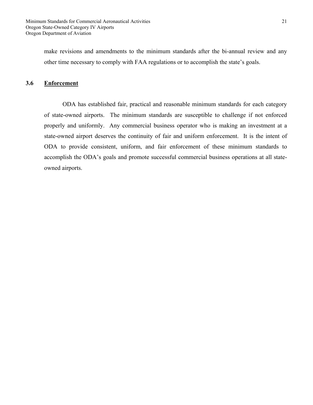make revisions and amendments to the minimum standards after the bi-annual review and any other time necessary to comply with FAA regulations or to accomplish the state's goals.

# **3.6 Enforcement**

 ODA has established fair, practical and reasonable minimum standards for each category of state-owned airports. The minimum standards are susceptible to challenge if not enforced properly and uniformly. Any commercial business operator who is making an investment at a state-owned airport deserves the continuity of fair and uniform enforcement. It is the intent of ODA to provide consistent, uniform, and fair enforcement of these minimum standards to accomplish the ODA's goals and promote successful commercial business operations at all stateowned airports.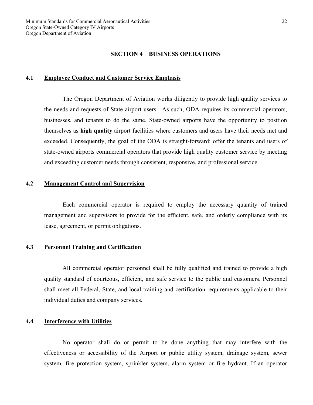#### **SECTION 4 BUSINESS OPERATIONS**

#### **4.1 Employee Conduct and Customer Service Emphasis**

 The Oregon Department of Aviation works diligently to provide high quality services to the needs and requests of State airport users. As such, ODA requires its commercial operators, businesses, and tenants to do the same. State-owned airports have the opportunity to position themselves as **high quality** airport facilities where customers and users have their needs met and exceeded. Consequently, the goal of the ODA is straight-forward: offer the tenants and users of state-owned airports commercial operators that provide high quality customer service by meeting and exceeding customer needs through consistent, responsive, and professional service.

# **4.2 Management Control and Supervision**

Each commercial operator is required to employ the necessary quantity of trained management and supervisors to provide for the efficient, safe, and orderly compliance with its lease, agreement, or permit obligations.

#### **4.3 Personnel Training and Certification**

 All commercial operator personnel shall be fully qualified and trained to provide a high quality standard of courteous, efficient, and safe service to the public and customers. Personnel shall meet all Federal, State, and local training and certification requirements applicable to their individual duties and company services.

#### **4.4 Interference with Utilities**

 No operator shall do or permit to be done anything that may interfere with the effectiveness or accessibility of the Airport or public utility system, drainage system, sewer system, fire protection system, sprinkler system, alarm system or fire hydrant. If an operator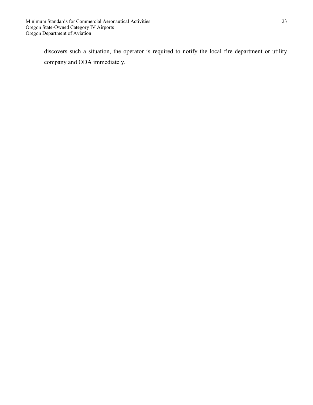discovers such a situation, the operator is required to notify the local fire department or utility company and ODA immediately.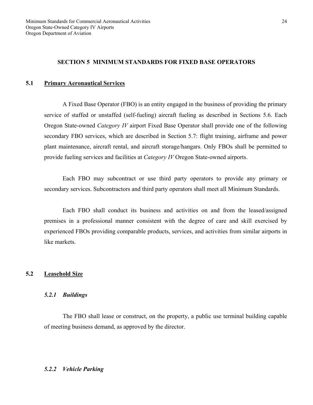# **SECTION 5 MINIMUM STANDARDS FOR FIXED BASE OPERATORS**

#### **5.1 Primary Aeronautical Services**

 A Fixed Base Operator (FBO) is an entity engaged in the business of providing the primary service of staffed or unstaffed (self-fueling) aircraft fueling as described in Sections 5.6. Each Oregon State-owned *Category IV* airport Fixed Base Operator shall provide one of the following secondary FBO services, which are described in Section 5.7: flight training, airframe and power plant maintenance, aircraft rental, and aircraft storage/hangars. Only FBOs shall be permitted to provide fueling services and facilities at *Category IV* Oregon State-owned airports.

 Each FBO may subcontract or use third party operators to provide any primary or secondary services. Subcontractors and third party operators shall meet all Minimum Standards.

 Each FBO shall conduct its business and activities on and from the leased/assigned premises in a professional manner consistent with the degree of care and skill exercised by experienced FBOs providing comparable products, services, and activities from similar airports in like markets.

#### **5.2 Leasehold Size**

#### *5.2.1 Buildings*

 The FBO shall lease or construct, on the property, a public use terminal building capable of meeting business demand, as approved by the director.

#### *5.2.2 Vehicle Parking*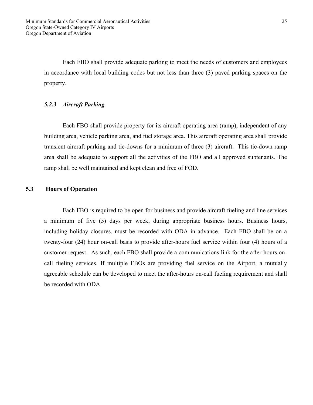Each FBO shall provide adequate parking to meet the needs of customers and employees in accordance with local building codes but not less than three (3) paved parking spaces on the property.

# *5.2.3 Aircraft Parking*

 Each FBO shall provide property for its aircraft operating area (ramp), independent of any building area, vehicle parking area, and fuel storage area. This aircraft operating area shall provide transient aircraft parking and tie-downs for a minimum of three (3) aircraft. This tie-down ramp area shall be adequate to support all the activities of the FBO and all approved subtenants. The ramp shall be well maintained and kept clean and free of FOD.

# **5.3 Hours of Operation**

Each FBO is required to be open for business and provide aircraft fueling and line services a minimum of five (5) days per week, during appropriate business hours. Business hours, including holiday closures, must be recorded with ODA in advance. Each FBO shall be on a twenty-four (24) hour on-call basis to provide after-hours fuel service within four (4) hours of a customer request. As such, each FBO shall provide a communications link for the after-hours oncall fueling services. If multiple FBOs are providing fuel service on the Airport, a mutually agreeable schedule can be developed to meet the after-hours on-call fueling requirement and shall be recorded with ODA.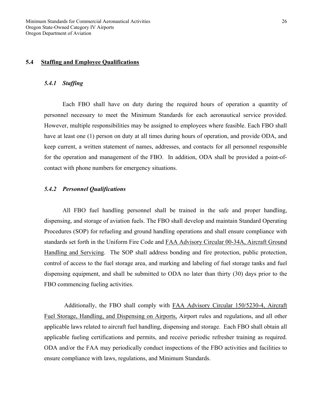# **5.4 Staffing and Employee Qualifications**

#### *5.4.1 Staffing*

 Each FBO shall have on duty during the required hours of operation a quantity of personnel necessary to meet the Minimum Standards for each aeronautical service provided. However, multiple responsibilities may be assigned to employees where feasible. Each FBO shall have at least one (1) person on duty at all times during hours of operation, and provide ODA, and keep current, a written statement of names, addresses, and contacts for all personnel responsible for the operation and management of the FBO. In addition, ODA shall be provided a point-ofcontact with phone numbers for emergency situations.

#### *5.4.2 Personnel Qualifications*

 All FBO fuel handling personnel shall be trained in the safe and proper handling, dispensing, and storage of aviation fuels. The FBO shall develop and maintain Standard Operating Procedures (SOP) for refueling and ground handling operations and shall ensure compliance with standards set forth in the Uniform Fire Code and FAA Advisory Circular 00-34A, Aircraft Ground Handling and Servicing. The SOP shall address bonding and fire protection, public protection, control of access to the fuel storage area, and marking and labeling of fuel storage tanks and fuel dispensing equipment, and shall be submitted to ODA no later than thirty (30) days prior to the FBO commencing fueling activities.

 Additionally, the FBO shall comply with FAA Advisory Circular 150/5230-4, Aircraft Fuel Storage, Handling, and Dispensing on Airports, Airport rules and regulations, and all other applicable laws related to aircraft fuel handling, dispensing and storage. Each FBO shall obtain all applicable fueling certifications and permits, and receive periodic refresher training as required. ODA and/or the FAA may periodically conduct inspections of the FBO activities and facilities to ensure compliance with laws, regulations, and Minimum Standards.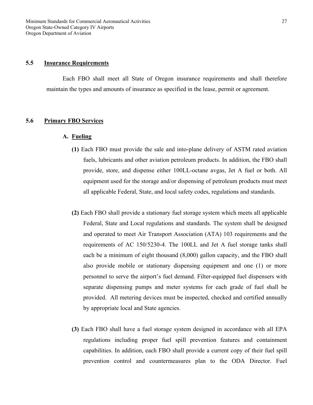# **5.5 Insurance Requirements**

 Each FBO shall meet all State of Oregon insurance requirements and shall therefore maintain the types and amounts of insurance as specified in the lease, permit or agreement.

# **5.6 Primary FBO Services**

#### **A. Fueling**

- **(1)** Each FBO must provide the sale and into-plane delivery of ASTM rated aviation fuels, lubricants and other aviation petroleum products. In addition, the FBO shall provide, store, and dispense either 100LL-octane avgas, Jet A fuel or both. All equipment used for the storage and/or dispensing of petroleum products must meet all applicable Federal, State, and local safety codes, regulations and standards.
- **(2)** Each FBO shall provide a stationary fuel storage system which meets all applicable Federal, State and Local regulations and standards. The system shall be designed and operated to meet Air Transport Association (ATA) 103 requirements and the requirements of AC 150/5230-4. The 100LL and Jet A fuel storage tanks shall each be a minimum of eight thousand (8,000) gallon capacity, and the FBO shall also provide mobile or stationary dispensing equipment and one (1) or more personnel to serve the airport's fuel demand. Filter-equipped fuel dispensers with separate dispensing pumps and meter systems for each grade of fuel shall be provided. All metering devices must be inspected, checked and certified annually by appropriate local and State agencies.
- **(3)** Each FBO shall have a fuel storage system designed in accordance with all EPA regulations including proper fuel spill prevention features and containment capabilities. In addition, each FBO shall provide a current copy of their fuel spill prevention control and countermeasures plan to the ODA Director. Fuel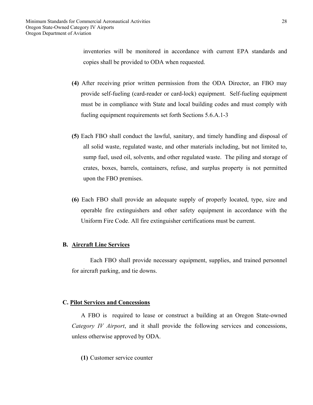inventories will be monitored in accordance with current EPA standards and copies shall be provided to ODA when requested.

- **(4)** After receiving prior written permission from the ODA Director, an FBO may provide self-fueling (card-reader or card-lock) equipment. Self-fueling equipment must be in compliance with State and local building codes and must comply with fueling equipment requirements set forth Sections 5.6.A.1-3
- **(5)** Each FBO shall conduct the lawful, sanitary, and timely handling and disposal of all solid waste, regulated waste, and other materials including, but not limited to, sump fuel, used oil, solvents, and other regulated waste. The piling and storage of crates, boxes, barrels, containers, refuse, and surplus property is not permitted upon the FBO premises.
- **(6)** Each FBO shall provide an adequate supply of properly located, type, size and operable fire extinguishers and other safety equipment in accordance with the Uniform Fire Code. All fire extinguisher certifications must be current.

#### **B. Aircraft Line Services**

Each FBO shall provide necessary equipment, supplies, and trained personnel for aircraft parking, and tie downs.

# **C. Pilot Services and Concessions**

 A FBO is required to lease or construct a building at an Oregon State-owned *Category IV Airport*, and it shall provide the following services and concessions, unless otherwise approved by ODA.

**(1)** Customer service counter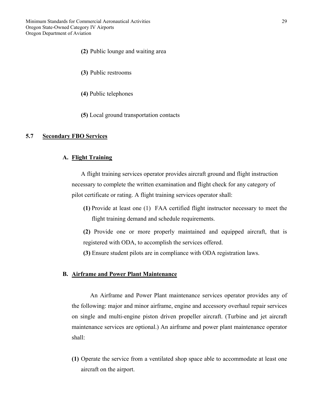Minimum Standards for Commercial Aeronautical Activities Oregon State-Owned Category IV Airports Oregon Department of Aviation

- **(2)** Public lounge and waiting area
- **(3)** Public restrooms
- **(4)** Public telephones
- **(5)** Local ground transportation contacts

#### **5.7 Secondary FBO Services**

#### **A. Flight Training**

 A flight training services operator provides aircraft ground and flight instruction necessary to complete the written examination and flight check for any category of pilot certificate or rating. A flight training services operator shall:

**(1)** Provide at least one (1) FAA certified flight instructor necessary to meet the flight training demand and schedule requirements.

**(2)** Provide one or more properly maintained and equipped aircraft, that is registered with ODA, to accomplish the services offered.

**(3)** Ensure student pilots are in compliance with ODA registration laws.

#### **B. Airframe and Power Plant Maintenance**

An Airframe and Power Plant maintenance services operator provides any of the following: major and minor airframe, engine and accessory overhaul repair services on single and multi-engine piston driven propeller aircraft. (Turbine and jet aircraft maintenance services are optional.) An airframe and power plant maintenance operator shall:

**(1)** Operate the service from a ventilated shop space able to accommodate at least one aircraft on the airport.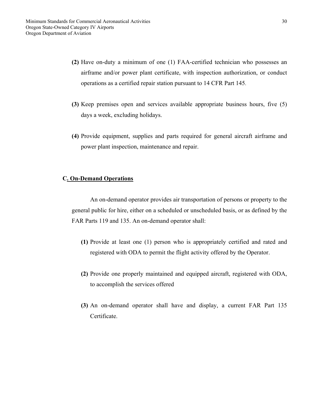- **(2)** Have on-duty a minimum of one (1) FAA-certified technician who possesses an airframe and/or power plant certificate, with inspection authorization, or conduct operations as a certified repair station pursuant to 14 CFR Part 145.
- **(3)** Keep premises open and services available appropriate business hours, five (5) days a week, excluding holidays.
- **(4)** Provide equipment, supplies and parts required for general aircraft airframe and power plant inspection, maintenance and repair.

#### **C. On-Demand Operations**

An on-demand operator provides air transportation of persons or property to the general public for hire, either on a scheduled or unscheduled basis, or as defined by the FAR Parts 119 and 135. An on-demand operator shall:

- **(1)** Provide at least one (1) person who is appropriately certified and rated and registered with ODA to permit the flight activity offered by the Operator.
- **(2)** Provide one properly maintained and equipped aircraft, registered with ODA, to accomplish the services offered
- **(3)** An on-demand operator shall have and display, a current FAR Part 135 Certificate.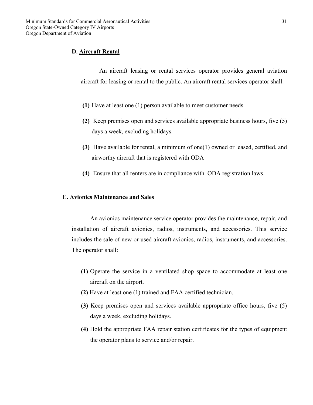# **D. Aircraft Rental**

An aircraft leasing or rental services operator provides general aviation aircraft for leasing or rental to the public. An aircraft rental services operator shall:

- **(1)** Have at least one (1) person available to meet customer needs.
- **(2)** Keep premises open and services available appropriate business hours, five (5) days a week, excluding holidays.
- **(3)** Have available for rental, a minimum of one(1) owned or leased, certified, and airworthy aircraft that is registered with ODA
- **(4)** Ensure that all renters are in compliance with ODA registration laws.

#### **E. Avionics Maintenance and Sales**

An avionics maintenance service operator provides the maintenance, repair, and installation of aircraft avionics, radios, instruments, and accessories. This service includes the sale of new or used aircraft avionics, radios, instruments, and accessories. The operator shall:

- **(1)** Operate the service in a ventilated shop space to accommodate at least one aircraft on the airport.
- **(2)** Have at least one (1) trained and FAA certified technician.
- **(3)** Keep premises open and services available appropriate office hours, five (5) days a week, excluding holidays.
- **(4)** Hold the appropriate FAA repair station certificates for the types of equipment the operator plans to service and/or repair.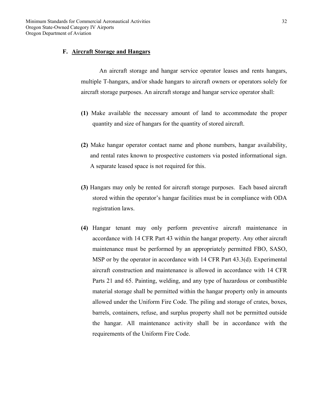#### **F. Aircraft Storage and Hangars**

An aircraft storage and hangar service operator leases and rents hangars, multiple T-hangars, and/or shade hangars to aircraft owners or operators solely for aircraft storage purposes. An aircraft storage and hangar service operator shall:

- **(1)** Make available the necessary amount of land to accommodate the proper quantity and size of hangars for the quantity of stored aircraft.
- **(2)** Make hangar operator contact name and phone numbers, hangar availability, and rental rates known to prospective customers via posted informational sign. A separate leased space is not required for this.
- **(3)** Hangars may only be rented for aircraft storage purposes. Each based aircraft stored within the operator's hangar facilities must be in compliance with ODA registration laws.
- **(4)** Hangar tenant may only perform preventive aircraft maintenance in accordance with 14 CFR Part 43 within the hangar property. Any other aircraft maintenance must be performed by an appropriately permitted FBO, SASO, MSP or by the operator in accordance with 14 CFR Part 43.3(d). Experimental aircraft construction and maintenance is allowed in accordance with 14 CFR Parts 21 and 65. Painting, welding, and any type of hazardous or combustible material storage shall be permitted within the hangar property only in amounts allowed under the Uniform Fire Code. The piling and storage of crates, boxes, barrels, containers, refuse, and surplus property shall not be permitted outside the hangar. All maintenance activity shall be in accordance with the requirements of the Uniform Fire Code.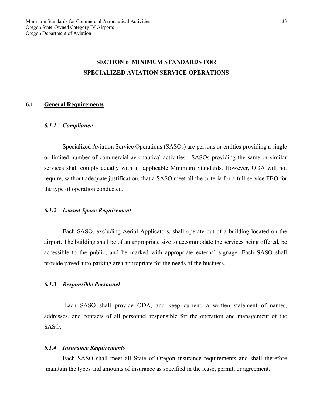# **SECTION 6 MINIMUM STANDARDS FOR SPECIALIZED AVIATION SERVICE OPERATIONS**

#### **6.1 General Requirements**

#### *6.1.1 Compliance*

 Specialized Aviation Service Operations (SASOs) are persons or entities providing a single or limited number of commercial aeronautical activities. SASOs providing the same or similar services shall comply equally with all applicable Minimum Standards. However, ODA will not require, without adequate justification, that a SASO meet all the criteria for a full-service FBO for the type of operation conducted.

#### *6.1.2 Leased Space Requirement*

 Each SASO, excluding Aerial Applicators, shall operate out of a building located on the airport. The building shall be of an appropriate size to accommodate the services being offered, be accessible to the public, and be marked with appropriate external signage. Each SASO shall provide paved auto parking area appropriate for the needs of the business.

#### *6.1.3 Responsible Personnel*

Each SASO shall provide ODA, and keep current, a written statement of names, addresses, and contacts of all personnel responsible for the operation and management of the SASO.

#### *6.1.4 Insurance Requirements*

 Each SASO shall meet all State of Oregon insurance requirements and shall therefore maintain the types and amounts of insurance as specified in the lease, permit, or agreement.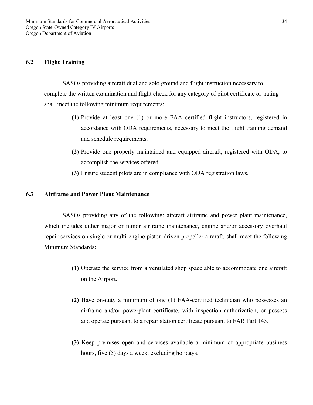# **6.2 Flight Training**

 SASOs providing aircraft dual and solo ground and flight instruction necessary to complete the written examination and flight check for any category of pilot certificate or rating shall meet the following minimum requirements:

- **(1)** Provide at least one (1) or more FAA certified flight instructors, registered in accordance with ODA requirements, necessary to meet the flight training demand and schedule requirements.
- **(2)** Provide one properly maintained and equipped aircraft, registered with ODA, to accomplish the services offered.
- **(3)** Ensure student pilots are in compliance with ODA registration laws.

#### **6.3 Airframe and Power Plant Maintenance**

SASOs providing any of the following: aircraft airframe and power plant maintenance, which includes either major or minor airframe maintenance, engine and/or accessory overhaul repair services on single or multi-engine piston driven propeller aircraft, shall meet the following Minimum Standards:

- **(1)** Operate the service from a ventilated shop space able to accommodate one aircraft on the Airport.
- **(2)** Have on-duty a minimum of one (1) FAA-certified technician who possesses an airframe and/or powerplant certificate, with inspection authorization, or possess and operate pursuant to a repair station certificate pursuant to FAR Part 145.
- **(3)** Keep premises open and services available a minimum of appropriate business hours, five (5) days a week, excluding holidays.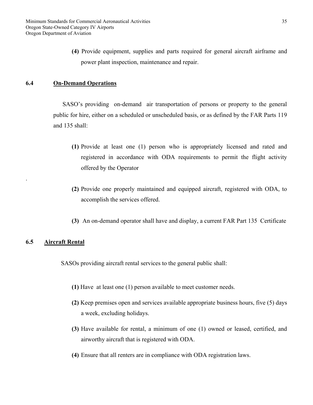**(4)** Provide equipment, supplies and parts required for general aircraft airframe and power plant inspection, maintenance and repair.

# **6.4 On-Demand Operations**

 SASO's providing on-demand air transportation of persons or property to the general public for hire, either on a scheduled or unscheduled basis, or as defined by the FAR Parts 119 and 135 shall:

- **(1)** Provide at least one (1) person who is appropriately licensed and rated and registered in accordance with ODA requirements to permit the flight activity offered by the Operator
- **(2)** Provide one properly maintained and equipped aircraft, registered with ODA, to accomplish the services offered.
- **(3)** An on-demand operator shall have and display, a current FAR Part 135 Certificate

# **6.5 Aircraft Rental**

.

SASOs providing aircraft rental services to the general public shall:

- **(1)** Have at least one (1) person available to meet customer needs.
- **(2)** Keep premises open and services available appropriate business hours, five (5) days a week, excluding holidays.
- **(3)** Have available for rental, a minimum of one (1) owned or leased, certified, and airworthy aircraft that is registered with ODA.
- **(4)** Ensure that all renters are in compliance with ODA registration laws.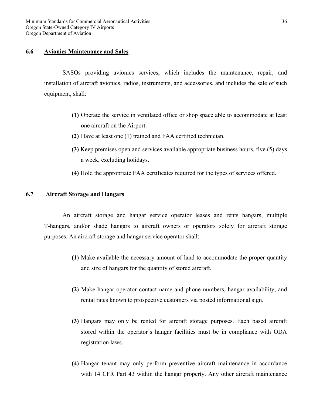#### **6.6 Avionics Maintenance and Sales**

SASOs providing avionics services, which includes the maintenance, repair, and installation of aircraft avionics, radios, instruments, and accessories, and includes the sale of such equipment, shall:

- **(1)** Operate the service in ventilated office or shop space able to accommodate at least one aircraft on the Airport.
- **(2)** Have at least one (1) trained and FAA certified technician.
- **(3)** Keep premises open and services available appropriate business hours, five (5) days a week, excluding holidays.
- **(4)** Hold the appropriate FAA certificates required for the types of services offered.

# **6.7 Aircraft Storage and Hangars**

An aircraft storage and hangar service operator leases and rents hangars, multiple T-hangars, and/or shade hangars to aircraft owners or operators solely for aircraft storage purposes. An aircraft storage and hangar service operator shall:

- **(1)** Make available the necessary amount of land to accommodate the proper quantity and size of hangars for the quantity of stored aircraft.
- **(2)** Make hangar operator contact name and phone numbers, hangar availability, and rental rates known to prospective customers via posted informational sign.
- **(3)** Hangars may only be rented for aircraft storage purposes. Each based aircraft stored within the operator's hangar facilities must be in compliance with ODA registration laws.
- **(4)** Hangar tenant may only perform preventive aircraft maintenance in accordance with 14 CFR Part 43 within the hangar property. Any other aircraft maintenance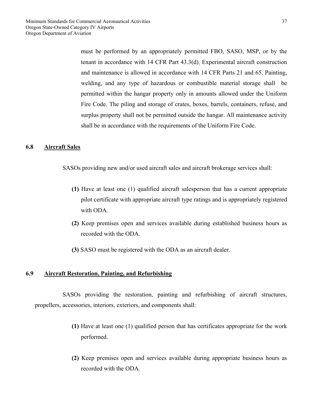must be performed by an appropriately permitted FBO, SASO, MSP, or by the tenant in accordance with 14 CFR Part 43.3(d). Experimental aircraft construction and maintenance is allowed in accordance with 14 CFR Parts 21 and 65. Painting, welding, and any type of hazardous or combustible material storage shall be permitted within the hangar property only in amounts allowed under the Uniform Fire Code. The piling and storage of crates, boxes, barrels, containers, refuse, and surplus property shall not be permitted outside the hangar. All maintenance activity shall be in accordance with the requirements of the Uniform Fire Code.

#### **6.8 Aircraft Sales**

SASOs providing new and/or used aircraft sales and aircraft brokerage services shall:

- **(1)** Have at least one (1) qualified aircraft salesperson that has a current appropriate pilot certificate with appropriate aircraft type ratings and is appropriately registered with ODA.
- **(2)** Keep premises open and services available during established business hours as recorded with the ODA.
- **(3)** SASO must be registered with the ODA as an aircraft dealer.

# **6.9 Aircraft Restoration, Painting, and Refurbishing**

 SASOs providing the restoration, painting and refurbishing of aircraft structures, propellers, accessories, interiors, exteriors, and components shall:

- **(1)** Have at least one (1) qualified person that has certificates appropriate for the work performed.
- **(2)** Keep premises open and services available during appropriate business hours as recorded with the ODA.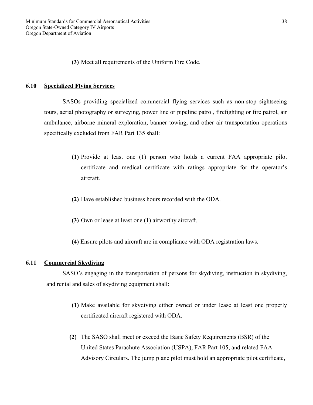**(3)** Meet all requirements of the Uniform Fire Code.

#### **6.10 Specialized Flying Services**

SASOs providing specialized commercial flying services such as non-stop sightseeing tours, aerial photography or surveying, power line or pipeline patrol, firefighting or fire patrol, air ambulance, airborne mineral exploration, banner towing, and other air transportation operations specifically excluded from FAR Part 135 shall:

- **(1)** Provide at least one (1) person who holds a current FAA appropriate pilot certificate and medical certificate with ratings appropriate for the operator's aircraft.
- **(2)** Have established business hours recorded with the ODA.
- **(3)** Own or lease at least one (1) airworthy aircraft.
- **(4)** Ensure pilots and aircraft are in compliance with ODA registration laws.

#### **6.11 Commercial Skydiving**

SASO's engaging in the transportation of persons for skydiving, instruction in skydiving, and rental and sales of skydiving equipment shall:

- **(1)** Make available for skydiving either owned or under lease at least one properly certificated aircraft registered with ODA.
- **(2)** The SASO shall meet or exceed the Basic Safety Requirements (BSR) of the United States Parachute Association (USPA), FAR Part 105, and related FAA Advisory Circulars. The jump plane pilot must hold an appropriate pilot certificate,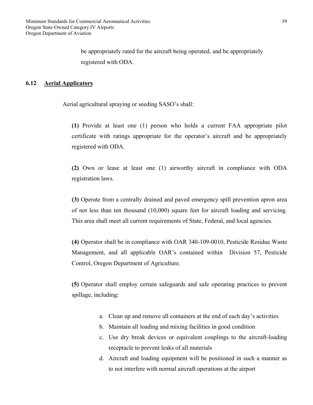be appropriately rated for the aircraft being operated, and be appropriately registered with ODA.

# **6.12 Aerial Applicators**

Aerial agricultural spraying or seeding SASO's shall:

**(1)** Provide at least one (1) person who holds a current FAA appropriate pilot certificate with ratings appropriate for the operator's aircraft and be appropriately registered with ODA.

**(2)** Own or lease at least one (1) airworthy aircraft in compliance with ODA registration laws.

**(3)** Operate from a centrally drained and paved emergency spill prevention apron area of not less than ten thousand (10,000) square feet for aircraft loading and servicing. This area shall meet all current requirements of State, Federal, and local agencies.

**(4)** Operator shall be in compliance with OAR 340-109-0010, Pesticide Residue Waste Management, and all applicable OAR's contained within Division 57, Pesticide Control, Oregon Department of Agriculture.

**(5)** Operator shall employ certain safeguards and safe operating practices to prevent spillage, including:

- a. Clean up and remove all containers at the end of each day's activities
- b. Maintain all loading and mixing facilities in good condition
- c. Use dry break devices or equivalent couplings to the aircraft-loading receptacle to prevent leaks of all materials
- d. Aircraft and loading equipment will be positioned in such a manner as to not interfere with normal aircraft operations at the airport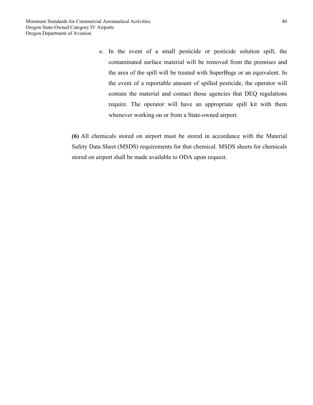e. In the event of a small pesticide or pesticide solution spill, the contaminated surface material will be removed from the premises and the area of the spill will be treated with SuperBugs or an equivalent. In the event of a reportable amount of spilled pesticide, the operator will contain the material and contact those agencies that DEQ regulations require. The operator will have an appropriate spill kit with them whenever working on or from a State-owned airport.

**(6)** All chemicals stored on airport must be stored in accordance with the Material Safety Data Sheet (MSDS) requirements for that chemical. MSDS sheets for chemicals stored on airport shall be made available to ODA upon request.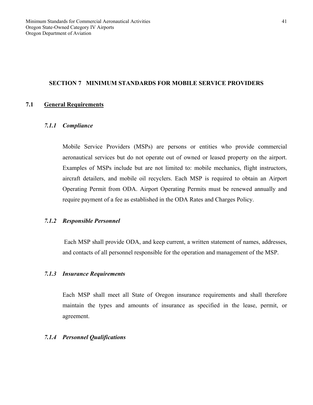#### **SECTION 7 MINIMUM STANDARDS FOR MOBILE SERVICE PROVIDERS**

# **7.1 General Requirements**

#### *7.1.1 Compliance*

Mobile Service Providers (MSPs) are persons or entities who provide commercial aeronautical services but do not operate out of owned or leased property on the airport. Examples of MSPs include but are not limited to: mobile mechanics, flight instructors, aircraft detailers, and mobile oil recyclers. Each MSP is required to obtain an Airport Operating Permit from ODA. Airport Operating Permits must be renewed annually and require payment of a fee as established in the ODA Rates and Charges Policy.

#### *7.1.2 Responsible Personnel*

Each MSP shall provide ODA, and keep current, a written statement of names, addresses, and contacts of all personnel responsible for the operation and management of the MSP.

#### *7.1.3 Insurance Requirements*

Each MSP shall meet all State of Oregon insurance requirements and shall therefore maintain the types and amounts of insurance as specified in the lease, permit, or agreement.

#### *7.1.4 Personnel Qualifications*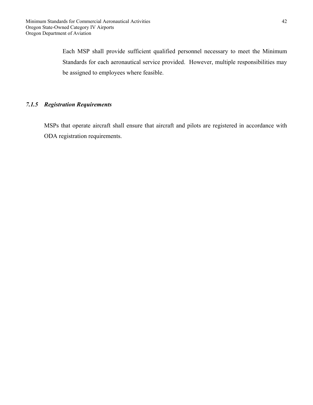Each MSP shall provide sufficient qualified personnel necessary to meet the Minimum Standards for each aeronautical service provided. However, multiple responsibilities may be assigned to employees where feasible.

# *7.1.5 Registration Requirements*

MSPs that operate aircraft shall ensure that aircraft and pilots are registered in accordance with ODA registration requirements.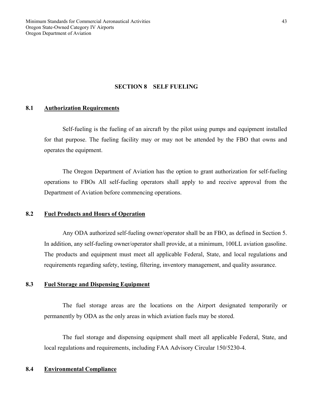#### **SECTION 8 SELF FUELING**

### **8.1 Authorization Requirements**

Self-fueling is the fueling of an aircraft by the pilot using pumps and equipment installed for that purpose. The fueling facility may or may not be attended by the FBO that owns and operates the equipment.

 The Oregon Department of Aviation has the option to grant authorization for self-fueling operations to FBOs All self-fueling operators shall apply to and receive approval from the Department of Aviation before commencing operations.

# **8.2 Fuel Products and Hours of Operation**

Any ODA authorized self-fueling owner/operator shall be an FBO, as defined in Section 5. In addition, any self-fueling owner/operator shall provide, at a minimum, 100LL aviation gasoline. The products and equipment must meet all applicable Federal, State, and local regulations and requirements regarding safety, testing, filtering, inventory management, and quality assurance.

# **8.3 Fuel Storage and Dispensing Equipment**

The fuel storage areas are the locations on the Airport designated temporarily or permanently by ODA as the only areas in which aviation fuels may be stored.

The fuel storage and dispensing equipment shall meet all applicable Federal, State, and local regulations and requirements, including FAA Advisory Circular 150/5230-4.

#### **8.4 Environmental Compliance**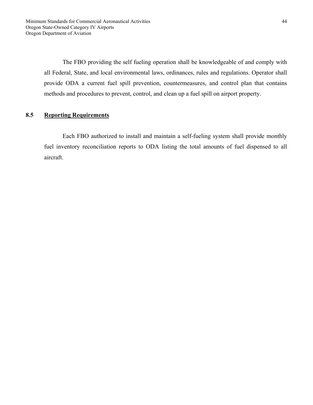The FBO providing the self fueling operation shall be knowledgeable of and comply with all Federal, State, and local environmental laws, ordinances, rules and regulations. Operator shall provide ODA a current fuel spill prevention, countermeasures, and control plan that contains methods and procedures to prevent, control, and clean up a fuel spill on airport property.

# **8.5 Reporting Requirements**

 Each FBO authorized to install and maintain a self-fueling system shall provide monthly fuel inventory reconciliation reports to ODA listing the total amounts of fuel dispensed to all aircraft.